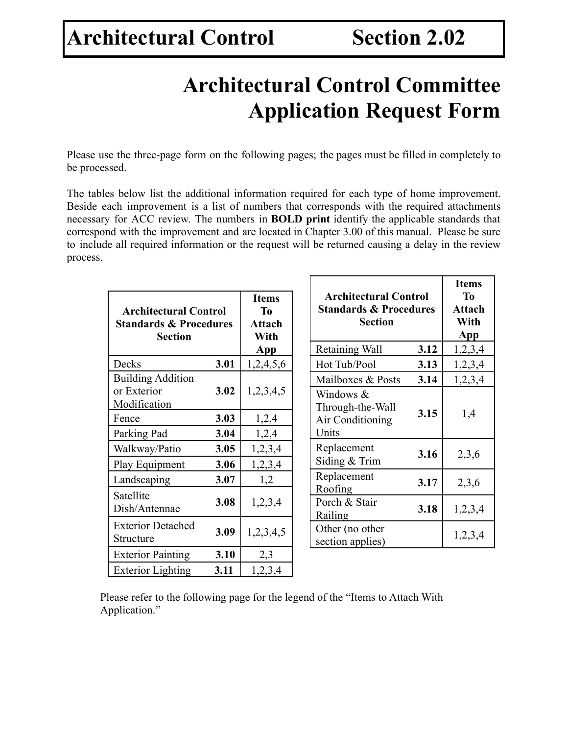# **Architectural Control Committee Application Request Form**

Please use the three-page form on the following pages; the pages must be filled in completely to be processed.

The tables below list the additional information required for each type of home improvement. Beside each improvement is a list of numbers that corresponds with the required attachments necessary for ACC review. The numbers in **BOLD print** identify the applicable standards that correspond with the improvement and are located in Chapter 3.00 of this manual. Please be sure to include all required information or the request will be returned causing a delay in the review process.

| <b>Architectural Control</b><br><b>Standards &amp; Procedures</b><br><b>Section</b> |      | <b>Items</b><br><b>To</b><br><b>Attach</b><br>With | <b>Architectural Control</b><br><b>Standards &amp; Procedures</b><br><b>Section</b> |      | <b>Items</b><br><b>To</b><br><b>Attach</b><br>With<br><b>App</b> |
|-------------------------------------------------------------------------------------|------|----------------------------------------------------|-------------------------------------------------------------------------------------|------|------------------------------------------------------------------|
|                                                                                     |      | <b>App</b>                                         | Retaining Wall                                                                      | 3.12 | 1,2,3,4                                                          |
| Decks                                                                               | 3.01 | 1,2,4,5,6                                          | Hot Tub/Pool                                                                        | 3.13 | 1,2,3,4                                                          |
| <b>Building Addition</b>                                                            |      |                                                    | Mailboxes & Posts                                                                   | 3.14 | 1,2,3,4                                                          |
| or Exterior<br>Modification                                                         | 3.02 | 1,2,3,4,5                                          | Windows &<br>Through-the-Wall                                                       |      |                                                                  |
| Fence                                                                               | 3.03 | 1,2,4                                              | Air Conditioning                                                                    | 3.15 | 1,4                                                              |
| Parking Pad                                                                         | 3.04 | 1,2,4                                              | Units                                                                               |      |                                                                  |
| Walkway/Patio                                                                       | 3.05 | 1,2,3,4                                            | Replacement                                                                         | 3.16 | 2,3,6                                                            |
| Play Equipment                                                                      | 3.06 | 1,2,3,4                                            | Siding & Trim                                                                       |      |                                                                  |
| Landscaping                                                                         | 3.07 | 1,2                                                | Replacement<br>Roofing                                                              | 3.17 | 2,3,6                                                            |
| Satellite<br>Dish/Antennae                                                          | 3.08 | 1,2,3,4                                            | Porch & Stair<br>Railing                                                            | 3.18 | 1,2,3,4                                                          |
| <b>Exterior Detached</b><br>Structure                                               | 3.09 | 1,2,3,4,5                                          | Other (no other<br>section applies)                                                 |      | 1,2,3,4                                                          |
| <b>Exterior Painting</b>                                                            | 3.10 | 2,3                                                |                                                                                     |      |                                                                  |
| <b>Exterior Lighting</b>                                                            | 3.11 | 1,2,3,4                                            |                                                                                     |      |                                                                  |

Please refer to the following page for the legend of the "Items to Attach With Application."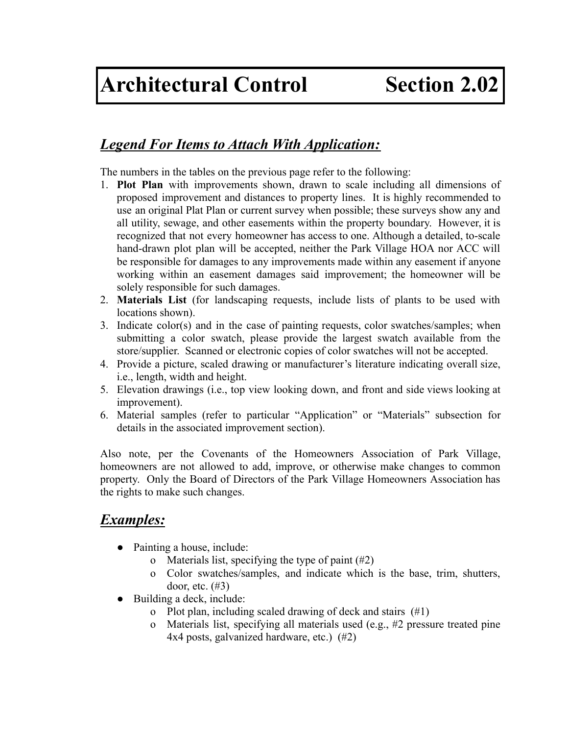### *Legend For Items to Attach With Application:*

The numbers in the tables on the previous page refer to the following:

- 1. **Plot Plan** with improvements shown, drawn to scale including all dimensions of proposed improvement and distances to property lines. It is highly recommended to use an original Plat Plan or current survey when possible; these surveys show any and all utility, sewage, and other easements within the property boundary. However, it is recognized that not every homeowner has access to one. Although a detailed, to-scale hand-drawn plot plan will be accepted, neither the Park Village HOA nor ACC will be responsible for damages to any improvements made within any easement if anyone working within an easement damages said improvement; the homeowner will be solely responsible for such damages.
- 2. **Materials List** (for landscaping requests, include lists of plants to be used with locations shown).
- 3. Indicate color(s) and in the case of painting requests, color swatches/samples; when submitting a color swatch, please provide the largest swatch available from the store/supplier. Scanned or electronic copies of color swatches will not be accepted.
- 4. Provide a picture, scaled drawing or manufacturer's literature indicating overall size, i.e., length, width and height.
- 5. Elevation drawings (i.e., top view looking down, and front and side views looking at improvement).
- 6. Material samples (refer to particular "Application" or "Materials" subsection for details in the associated improvement section).

Also note, per the Covenants of the Homeowners Association of Park Village, homeowners are not allowed to add, improve, or otherwise make changes to common property. Only the Board of Directors of the Park Village Homeowners Association has the rights to make such changes.

### *Examples:*

- Painting a house, include:
	- o Materials list, specifying the type of paint (#2)
	- o Color swatches/samples, and indicate which is the base, trim, shutters, door, etc. (#3)
- Building a deck, include:
	- Plot plan, including scaled drawing of deck and stairs  $(\#1)$
	- o Materials list, specifying all materials used (e.g., #2 pressure treated pine 4x4 posts, galvanized hardware, etc.) (#2)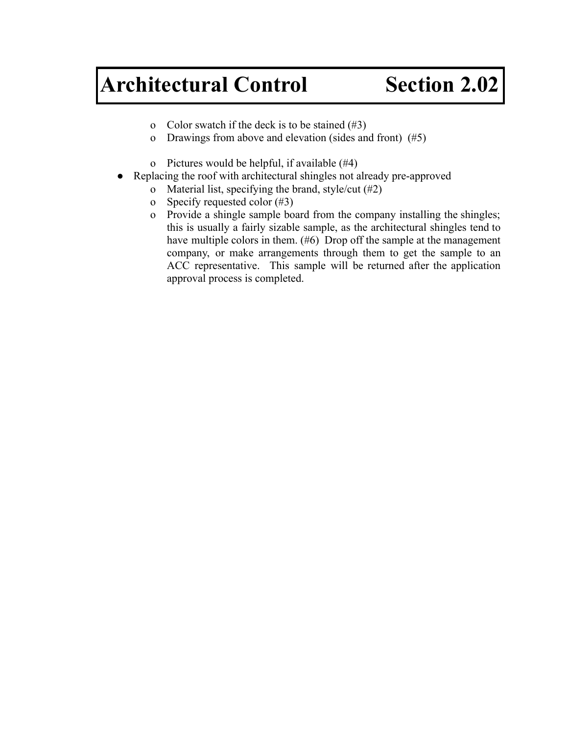- o Color swatch if the deck is to be stained  $(\#3)$
- o Drawings from above and elevation (sides and front) (#5)
- o Pictures would be helpful, if available (#4)
- Replacing the roof with architectural shingles not already pre-approved
	- o Material list, specifying the brand, style/cut (#2)
	- o Specify requested color (#3)
	- o Provide a shingle sample board from the company installing the shingles; this is usually a fairly sizable sample, as the architectural shingles tend to have multiple colors in them. (#6) Drop off the sample at the management company, or make arrangements through them to get the sample to an ACC representative. This sample will be returned after the application approval process is completed.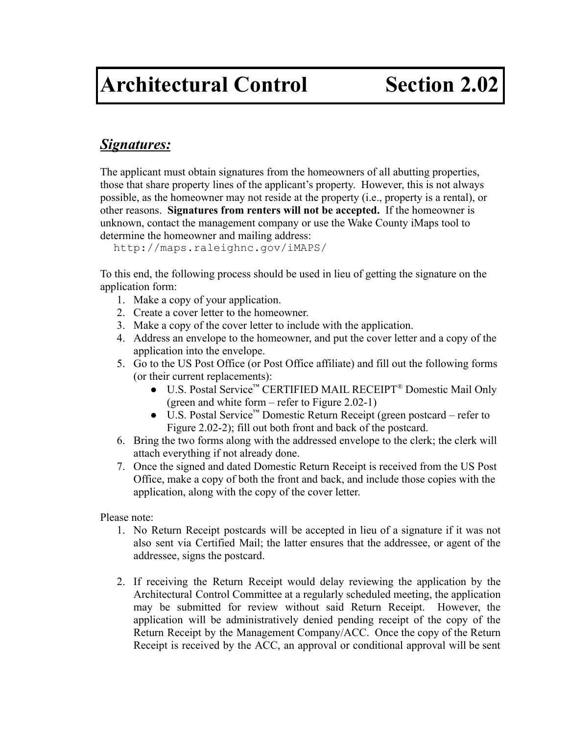#### *Signatures:*

The applicant must obtain signatures from the homeowners of all abutting properties, those that share property lines of the applicant's property. However, this is not always possible, as the homeowner may not reside at the property (i.e., property is a rental), or other reasons. **Signatures from renters will not be accepted.** If the homeowner is unknown, contact the management company or use the Wake County iMaps tool to determine the homeowner and mailing address:

http://maps.raleighnc.gov/iMAPS/

To this end, the following process should be used in lieu of getting the signature on the application form:

- 1. Make a copy of your application.
- 2. Create a cover letter to the homeowner.
- 3. Make a copy of the cover letter to include with the application.
- 4. Address an envelope to the homeowner, and put the cover letter and a copy of the application into the envelope.
- 5. Go to the US Post Office (or Post Office affiliate) and fill out the following forms (or their current replacements):
	- U.S. Postal Service™ CERTIFIED MAIL RECEIPT® Domestic Mail Only (green and white form – refer to Figure 2.02-1)
	- U.S. Postal Service™ Domestic Return Receipt (green postcard refer to Figure 2.02-2); fill out both front and back of the postcard.
- 6. Bring the two forms along with the addressed envelope to the clerk; the clerk will attach everything if not already done.
- 7. Once the signed and dated Domestic Return Receipt is received from the US Post Office, make a copy of both the front and back, and include those copies with the application, along with the copy of the cover letter.

Please note:

- 1. No Return Receipt postcards will be accepted in lieu of a signature if it was not also sent via Certified Mail; the latter ensures that the addressee, or agent of the addressee, signs the postcard.
- 2. If receiving the Return Receipt would delay reviewing the application by the Architectural Control Committee at a regularly scheduled meeting, the application may be submitted for review without said Return Receipt. However, the application will be administratively denied pending receipt of the copy of the Return Receipt by the Management Company/ACC. Once the copy of the Return Receipt is received by the ACC, an approval or conditional approval will be sent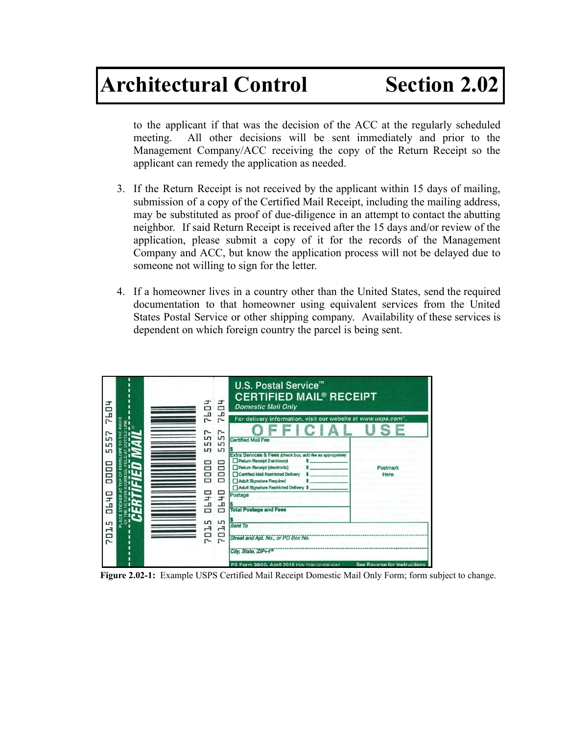to the applicant if that was the decision of the ACC at the regularly scheduled meeting. All other decisions will be sent immediately and prior to the Management Company/ACC receiving the copy of the Return Receipt so the applicant can remedy the application as needed.

- 3. If the Return Receipt is not received by the applicant within 15 days of mailing, submission of a copy of the Certified Mail Receipt, including the mailing address, may be substituted as proof of due-diligence in an attempt to contact the abutting neighbor. If said Return Receipt is received after the 15 days and/or review of the application, please submit a copy of it for the records of the Management Company and ACC, but know the application process will not be delayed due to someone not willing to sign for the letter.
- 4. If a homeowner lives in a country other than the United States, send the required documentation to that homeowner using equivalent services from the United States Postal Service or other shipping company. Availability of these services is dependent on which foreign country the parcel is being sent.

| ᅪ<br>▭<br>57<br>RIGHT<br>Ë<br>∎ ⊗<br>r                                     | <b>UP2</b>                                           | 름<br>러<br>r                                                                          | <b>U.S. Postal Service<sup>™</sup></b><br><b>CERTIFIED MAIL<sup>®</sup> RECEIPT</b><br><b>Domestic Mail Only</b><br>For delivery information, visit our website at www.usps.com <sup>®</sup> .                                                                                                                                                              |                                     |
|----------------------------------------------------------------------------|------------------------------------------------------|--------------------------------------------------------------------------------------|-------------------------------------------------------------------------------------------------------------------------------------------------------------------------------------------------------------------------------------------------------------------------------------------------------------------------------------------------------------|-------------------------------------|
| Lŋ<br>Lŋ<br>Lŋ<br>ᇤ<br>0000<br><b>DH 40</b><br>PLACE<br>ö<br>Lŋ<br>đ<br>r- | Ln,<br>Lŋ<br>Lŋ<br>2<br>8<br>ロセ<br>40<br><b>STD2</b> | Lŋ<br>Lŋ<br>Lŋ<br>▭<br>$\Box$<br>O<br>$\Box$<br>믚<br>품<br>Lŋ<br>$\overline{a}$<br>20 | <b>Certified Mail Fee</b><br>Extra Services & Fees (check box, add fee as appropriate)<br>Return Receipt (hardcopy)<br>Return Receipt (electronic)<br>Certified Mail Restricted Delivery<br>Adult Signature Required<br>Adult Signature Restricted Delivery \$<br>Postage<br><b>Total Postage and Fees</b><br>Sent To<br>Street and Apt. No., or PO Box No. | Postmark<br>Here                    |
|                                                                            |                                                      |                                                                                      | City, State, ZIP+4 <sup>®</sup><br>PS Form 3800, April 2015 PSN 7530-02-000-9047                                                                                                                                                                                                                                                                            | <b>See Reverse for Instructions</b> |

**Figure 2.02-1:** Example USPS Certified Mail Receipt Domestic Mail Only Form; form subject to change.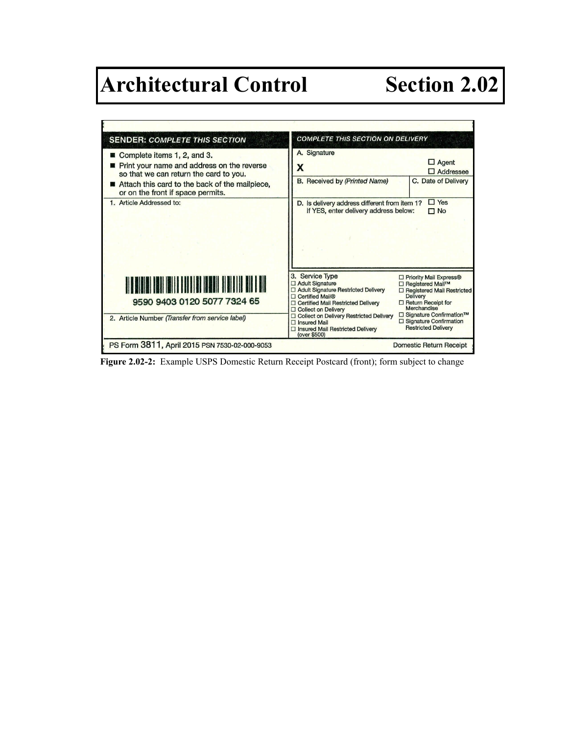

**Figure 2.02-2:** Example USPS Domestic Return Receipt Postcard (front); form subject to change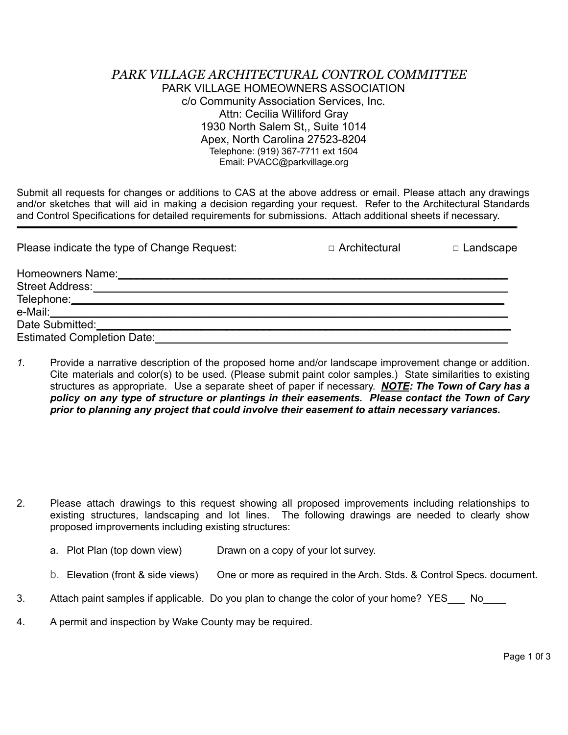#### *PARK VILLAGE ARCHITECTURAL CONTROL COMMITTEE* PARK VILLAGE HOMEOWNERS ASSOCIATION c/o Community Association Services, Inc. Attn: Cecilia Williford Gray 1930 North Salem St,, Suite 1014 Apex, North Carolina 27523-8204 Telephone: (919) 367-7711 ext 1504 Email: PVACC@parkvillage.org

Submit all requests for changes or additions to CAS at the above address or email. Please attach any drawings and/or sketches that will aid in making a decision regarding your request. Refer to the Architectural Standards and Control Specifications for detailed requirements for submissions. Attach additional sheets if necessary.

| Please indicate the type of Change Request: | $\Box$ Architectural | $\Box$ Landscape |
|---------------------------------------------|----------------------|------------------|
| Homeowners Name:                            |                      |                  |
| Street Address:                             |                      |                  |
| Telephone:________________________          |                      |                  |
|                                             |                      |                  |
| Date Submitted:                             |                      |                  |
| <b>Estimated Completion Date:</b>           |                      |                  |

*1.* Provide a narrative description of the proposed home and/or landscape improvement change or addition. Cite materials and color(s) to be used. (Please submit paint color samples.) State similarities to existing structures as appropriate. Use a separate sheet of paper if necessary. *NOTE: The Town of Cary has a policy on any type of structure or plantings in their easements. Please contact the Town of Cary prior to planning any project that could involve their easement to attain necessary variances.*

- 2. Please attach drawings to this request showing all proposed improvements including relationships to existing structures, landscaping and lot lines. The following drawings are needed to clearly show proposed improvements including existing structures:
	- a. Plot Plan (top down view) Drawn on a copy of your lot survey.
	- b. Elevation (front & side views) One or more as required in the Arch. Stds. & Control Specs. document.
- 3. Attach paint samples if applicable. Do you plan to change the color of your home? YES No
- 4. A permit and inspection by Wake County may be required.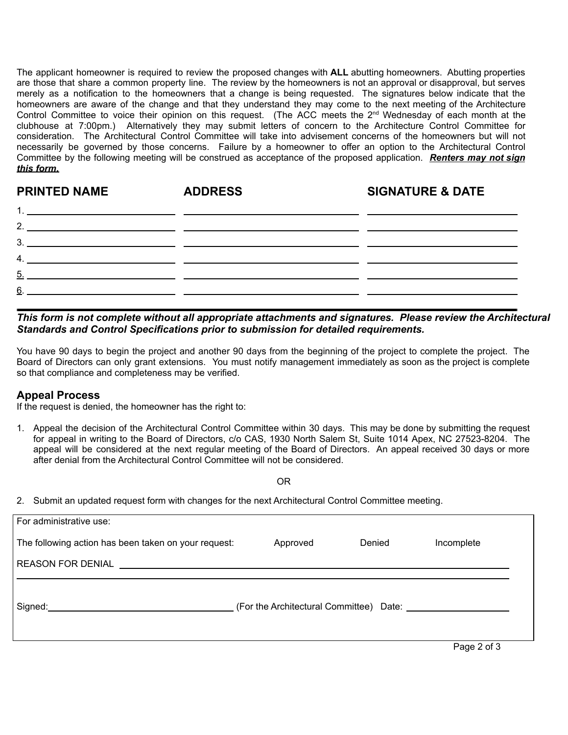The applicant homeowner is required to review the proposed changes with **ALL** abutting homeowners. Abutting properties are those that share a common property line. The review by the homeowners is not an approval or disapproval, but serves merely as a notification to the homeowners that a change is being requested. The signatures below indicate that the homeowners are aware of the change and that they understand they may come to the next meeting of the Architecture Control Committee to voice their opinion on this request. (The ACC meets the  $2<sup>nd</sup>$  Wednesday of each month at the clubhouse at 7:00pm.) Alternatively they may submit letters of concern to the Architecture Control Committee for consideration. The Architectural Control Committee will take into advisement concerns of the homeowners but will not necessarily be governed by those concerns. Failure by a homeowner to offer an option to the Architectural Control Committee by the following meeting will be construed as acceptance of the proposed application. *Renters may not sign this form.*

| <b>PRINTED NAME</b> | <b>ADDRESS</b> | <b>SIGNATURE &amp; DATE</b> |
|---------------------|----------------|-----------------------------|
|                     |                |                             |
|                     |                |                             |
|                     |                |                             |
|                     |                |                             |
| $5 -$               |                |                             |
| 6                   |                |                             |
|                     |                |                             |

*This form is not complete without all appropriate attachments and signatures. Please review the Architectural Standards and Control Specifications prior to submission for detailed requirements.*

You have 90 days to begin the project and another 90 days from the beginning of the project to complete the project. The Board of Directors can only grant extensions. You must notify management immediately as soon as the project is complete so that compliance and completeness may be verified.

#### **Appeal Process**

If the request is denied, the homeowner has the right to:

1. Appeal the decision of the Architectural Control Committee within 30 days. This may be done by submitting the request for appeal in writing to the Board of Directors, c/o CAS, 1930 North Salem St, Suite 1014 Apex, NC 27523-8204. The appeal will be considered at the next regular meeting of the Board of Directors. An appeal received 30 days or more after denial from the Architectural Control Committee will not be considered.

OR

2. Submit an updated request form with changes for the next Architectural Control Committee meeting.

| For administrative use:                              |          |        |             |
|------------------------------------------------------|----------|--------|-------------|
| The following action has been taken on your request: | Approved | Denied | Incomplete  |
|                                                      |          |        |             |
|                                                      |          |        |             |
|                                                      |          |        | Page 2 of 3 |